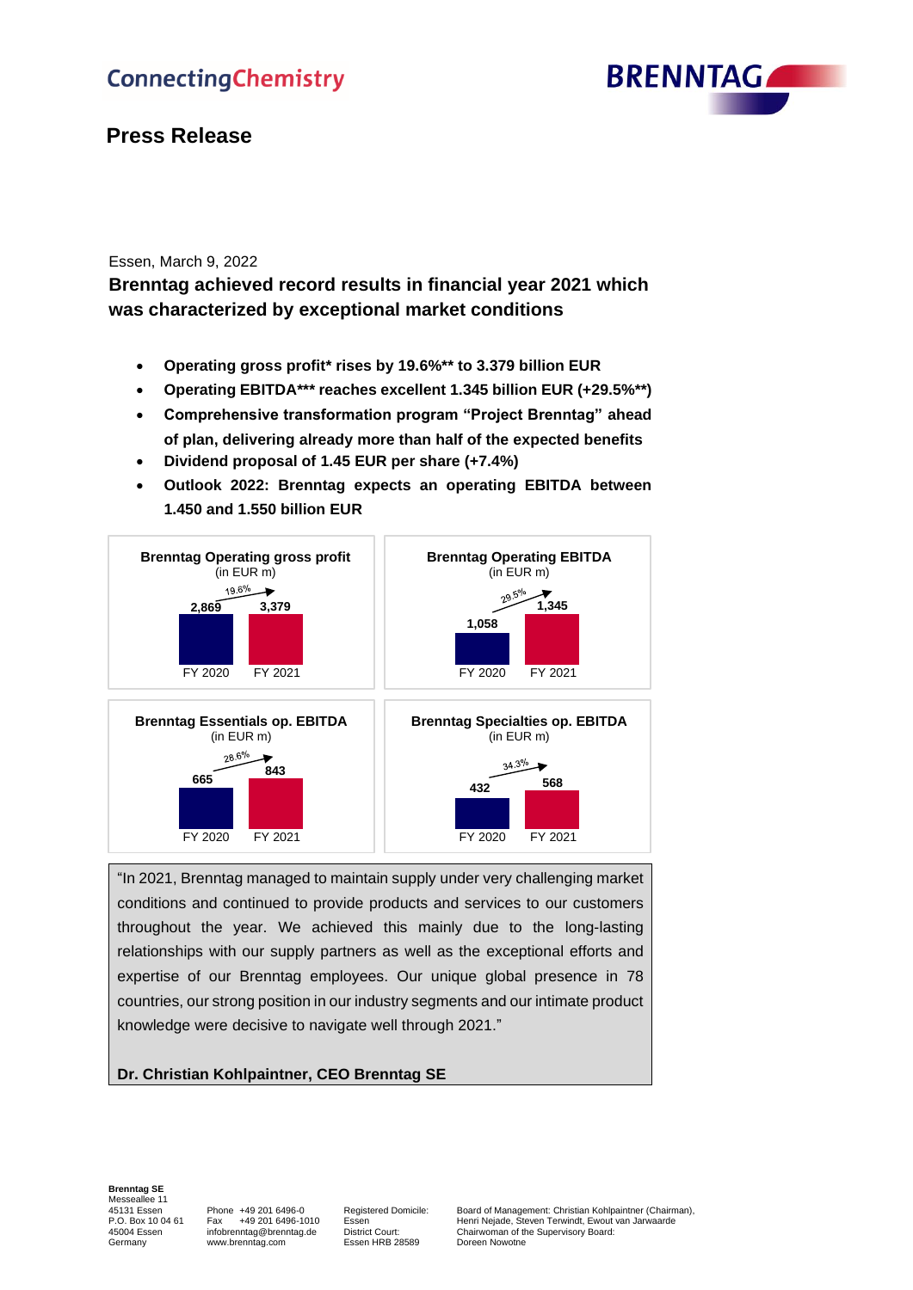

# **Press Release**

# Essen, March 9, 2022

**Brenntag achieved record results in financial year 2021 which was characterized by exceptional market conditions**

- **Operating gross profit\* rises by 19.6%\*\* to 3.379 billion EUR**
- **Operating EBITDA\*\*\* reaches excellent 1.345 billion EUR (+29.5%\*\*)**
- **Comprehensive transformation program "Project Brenntag" ahead of plan, delivering already more than half of the expected benefits**
- **Dividend proposal of 1.45 EUR per share (+7.4%)**
- **Outlook 2022: Brenntag expects an operating EBITDA between 1.450 and 1.550 billion EUR**



"In 2021, Brenntag managed to maintain supply under very challenging market conditions and continued to provide products and services to our customers throughout the year. We achieved this mainly due to the long-lasting relationships with our supply partners as well as the exceptional efforts and expertise of our Brenntag employees. Our unique global presence in 78 countries, our strong position in our industry segments and our intimate product knowledge were decisive to navigate well through 2021."

# **Dr. Christian Kohlpaintner, CEO Brenntag SE**

# **Brenntag SE** Messeallee 11

Essen HRB 28589

45131 Essen Phone +49 201 6496-0 Registered Domicile: Board of Management: Christian Kohlpaintner (Chairman), P.O. Box 10 04 61 Fax +49 201 6496-1010 Essen Henri Nejade, Steven Terwindt, Ewout van Jarwaarde<br>45004 Essen infobrenntag@brenntag.de District Court: Chairwoman of the Supervisory Board: 45004 Essen infobrenntag@brenntag.de District Court: Chairwoman of the Supervisory Board:<br>6 Germany www.brenntag.com Essen HRB 28589 Doreen Nowotne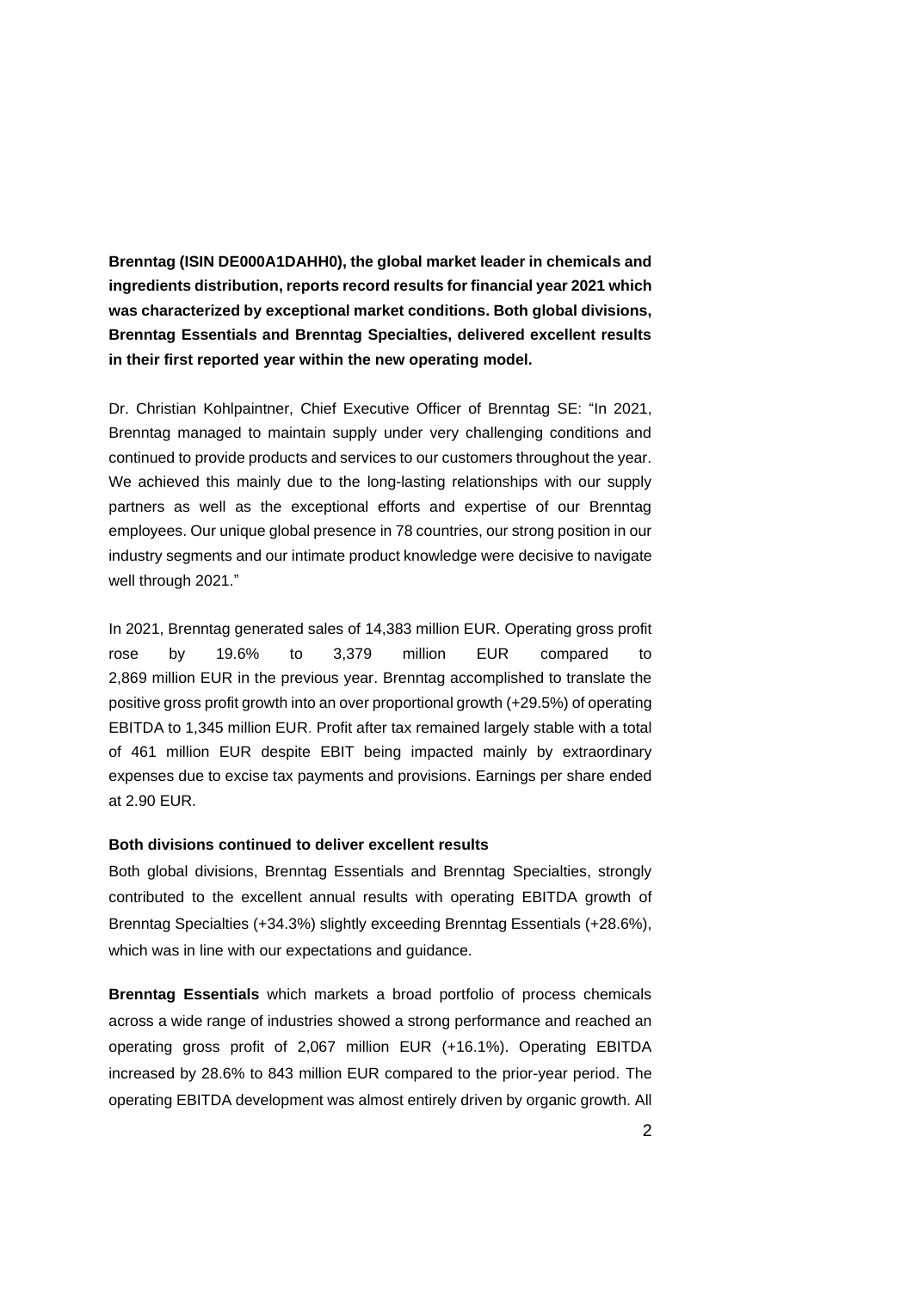**Brenntag (ISIN DE000A1DAHH0), the global market leader in chemicals and ingredients distribution, reports record results for financial year 2021 which was characterized by exceptional market conditions. Both global divisions, Brenntag Essentials and Brenntag Specialties, delivered excellent results in their first reported year within the new operating model.**

Dr. Christian Kohlpaintner, Chief Executive Officer of Brenntag SE: "In 2021, Brenntag managed to maintain supply under very challenging conditions and continued to provide products and services to our customers throughout the year. We achieved this mainly due to the long-lasting relationships with our supply partners as well as the exceptional efforts and expertise of our Brenntag employees. Our unique global presence in 78 countries, our strong position in our industry segments and our intimate product knowledge were decisive to navigate well through 2021."

In 2021, Brenntag generated sales of 14,383 million EUR. Operating gross profit rose by 19.6% to 3,379 million EUR compared to 2,869 million EUR in the previous year. Brenntag accomplished to translate the positive gross profit growth into an over proportional growth (+29.5%) of operating EBITDA to 1,345 million EUR. Profit after tax remained largely stable with a total of 461 million EUR despite EBIT being impacted mainly by extraordinary expenses due to excise tax payments and provisions. Earnings per share ended at 2.90 EUR.

## **Both divisions continued to deliver excellent results**

Both global divisions, Brenntag Essentials and Brenntag Specialties, strongly contributed to the excellent annual results with operating EBITDA growth of Brenntag Specialties (+34.3%) slightly exceeding Brenntag Essentials (+28.6%), which was in line with our expectations and guidance.

**Brenntag Essentials** which markets a broad portfolio of process chemicals across a wide range of industries showed a strong performance and reached an operating gross profit of 2,067 million EUR (+16.1%). Operating EBITDA increased by 28.6% to 843 million EUR compared to the prior-year period. The operating EBITDA development was almost entirely driven by organic growth. All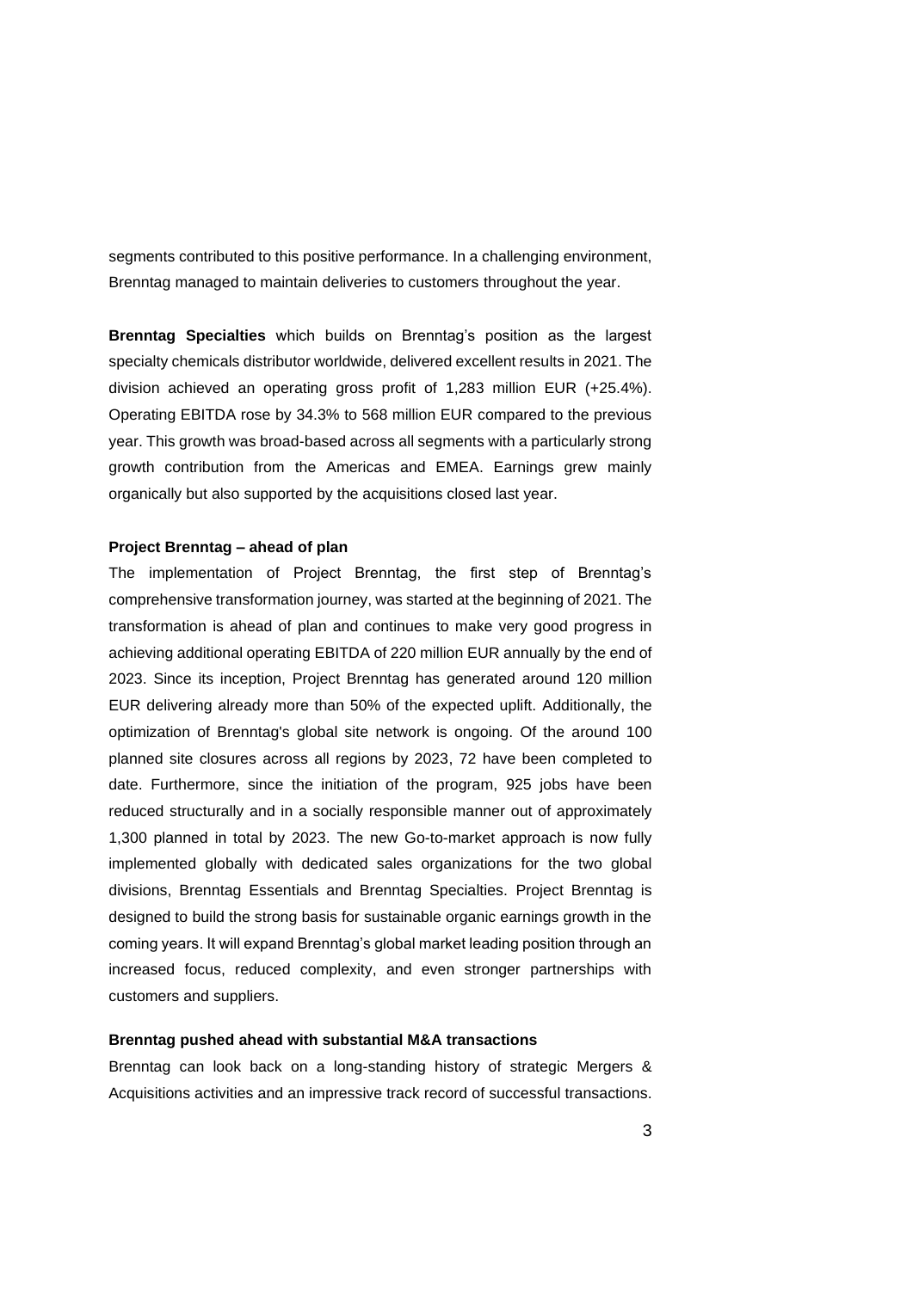segments contributed to this positive performance. In a challenging environment, Brenntag managed to maintain deliveries to customers throughout the year.

**Brenntag Specialties** which builds on Brenntag's position as the largest specialty chemicals distributor worldwide, delivered excellent results in 2021. The division achieved an operating gross profit of 1,283 million EUR (+25.4%). Operating EBITDA rose by 34.3% to 568 million EUR compared to the previous year. This growth was broad-based across all segments with a particularly strong growth contribution from the Americas and EMEA. Earnings grew mainly organically but also supported by the acquisitions closed last year.

### **Project Brenntag – ahead of plan**

The implementation of Project Brenntag, the first step of Brenntag's comprehensive transformation journey, was started at the beginning of 2021. The transformation is ahead of plan and continues to make very good progress in achieving additional operating EBITDA of 220 million EUR annually by the end of 2023. Since its inception, Project Brenntag has generated around 120 million EUR delivering already more than 50% of the expected uplift. Additionally, the optimization of Brenntag's global site network is ongoing. Of the around 100 planned site closures across all regions by 2023, 72 have been completed to date. Furthermore, since the initiation of the program, 925 jobs have been reduced structurally and in a socially responsible manner out of approximately 1,300 planned in total by 2023. The new Go-to-market approach is now fully implemented globally with dedicated sales organizations for the two global divisions, Brenntag Essentials and Brenntag Specialties. Project Brenntag is designed to build the strong basis for sustainable organic earnings growth in the coming years. It will expand Brenntag's global market leading position through an increased focus, reduced complexity, and even stronger partnerships with customers and suppliers.

#### **Brenntag pushed ahead with substantial M&A transactions**

Brenntag can look back on a long-standing history of strategic Mergers & Acquisitions activities and an impressive track record of successful transactions.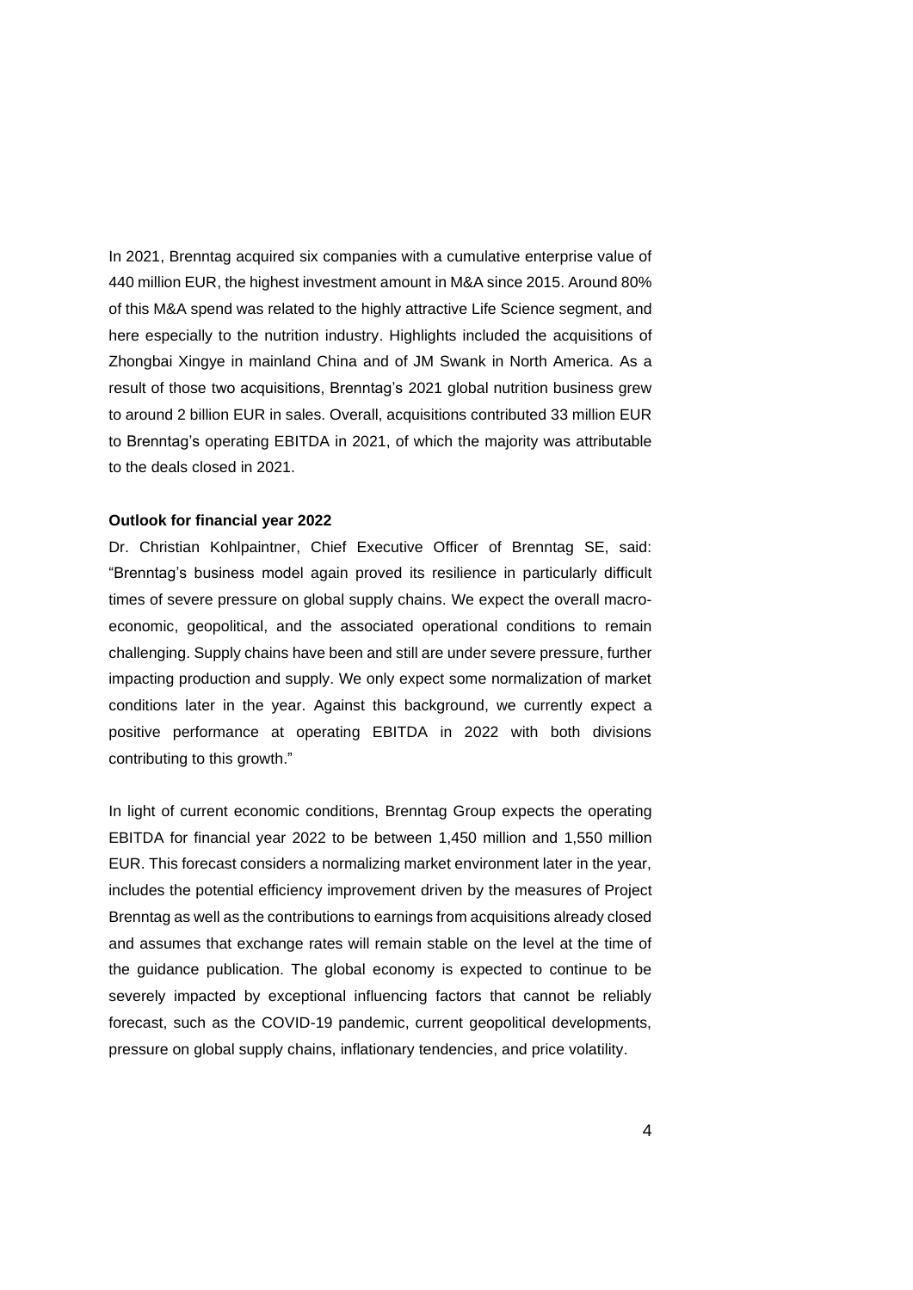In 2021, Brenntag acquired six companies with a cumulative enterprise value of 440 million EUR, the highest investment amount in M&A since 2015. Around 80% of this M&A spend was related to the highly attractive Life Science segment, and here especially to the nutrition industry. Highlights included the acquisitions of Zhongbai Xingye in mainland China and of JM Swank in North America. As a result of those two acquisitions, Brenntag's 2021 global nutrition business grew to around 2 billion EUR in sales. Overall, acquisitions contributed 33 million EUR to Brenntag's operating EBITDA in 2021, of which the majority was attributable to the deals closed in 2021.

#### **Outlook for financial year 2022**

Dr. Christian Kohlpaintner, Chief Executive Officer of Brenntag SE, said: "Brenntag's business model again proved its resilience in particularly difficult times of severe pressure on global supply chains. We expect the overall macroeconomic, geopolitical, and the associated operational conditions to remain challenging. Supply chains have been and still are under severe pressure, further impacting production and supply. We only expect some normalization of market conditions later in the year. Against this background, we currently expect a positive performance at operating EBITDA in 2022 with both divisions contributing to this growth."

In light of current economic conditions, Brenntag Group expects the operating EBITDA for financial year 2022 to be between 1,450 million and 1,550 million EUR. This forecast considers a normalizing market environment later in the year, includes the potential efficiency improvement driven by the measures of Project Brenntag as well as the contributions to earnings from acquisitions already closed and assumes that exchange rates will remain stable on the level at the time of the guidance publication. The global economy is expected to continue to be severely impacted by exceptional influencing factors that cannot be reliably forecast, such as the COVID-19 pandemic, current geopolitical developments, pressure on global supply chains, inflationary tendencies, and price volatility.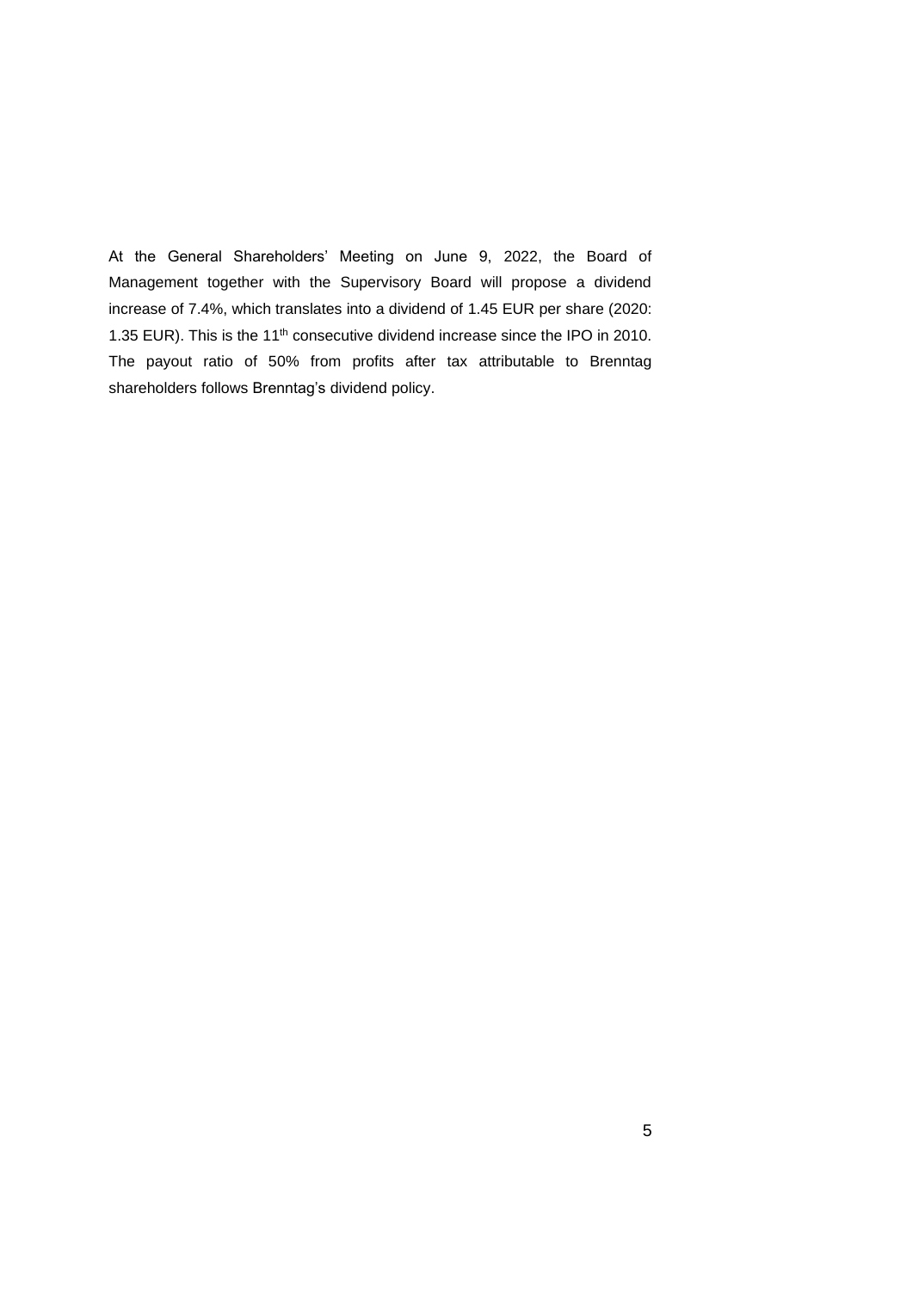At the General Shareholders' Meeting on June 9, 2022, the Board of Management together with the Supervisory Board will propose a dividend increase of 7.4%, which translates into a dividend of 1.45 EUR per share (2020: 1.35 EUR). This is the 11<sup>th</sup> consecutive dividend increase since the IPO in 2010. The payout ratio of 50% from profits after tax attributable to Brenntag shareholders follows Brenntag's dividend policy.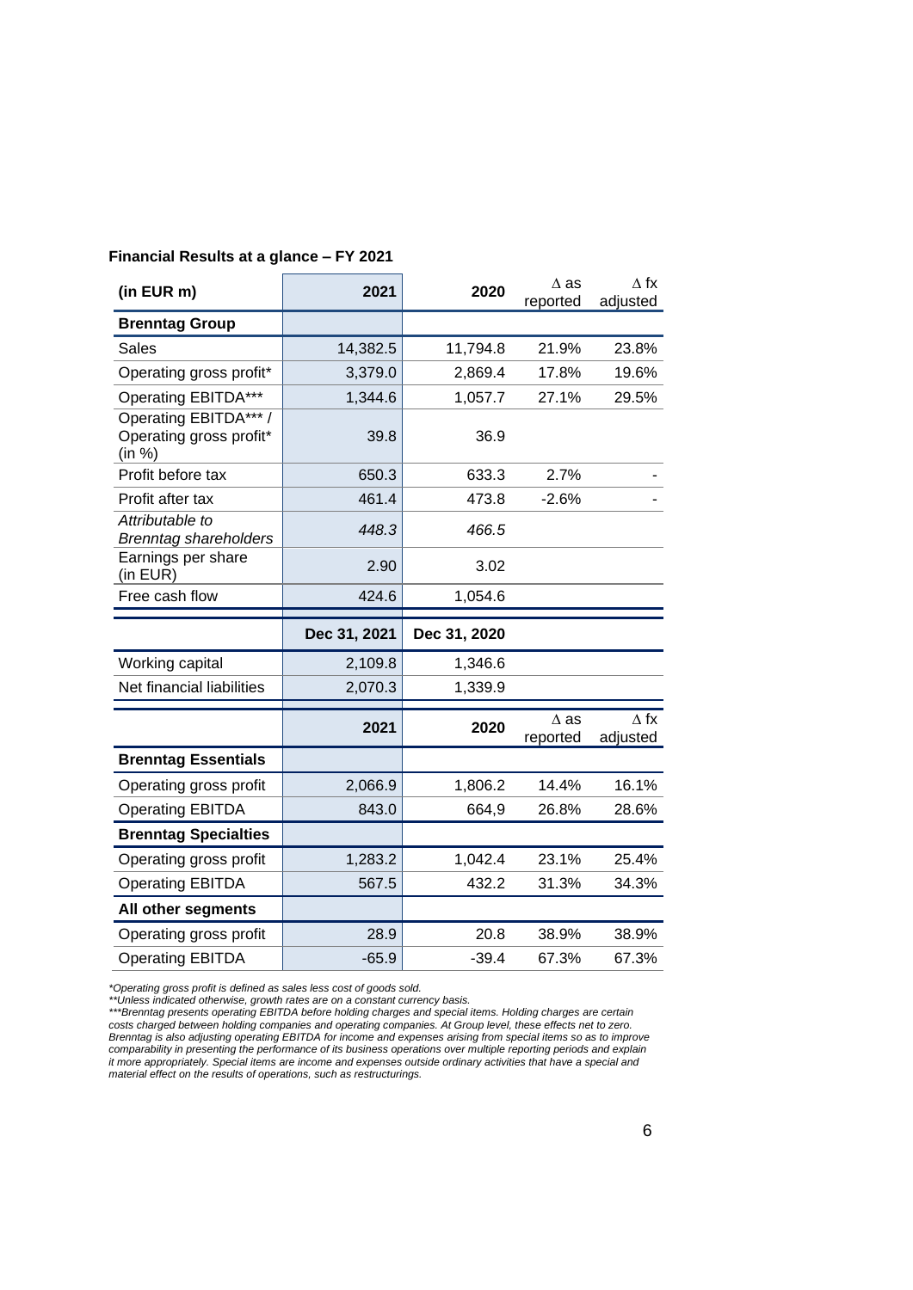| (in EUR m)                                                 | 2021         | 2020         | $\Delta$ as<br>reported | $\Delta$ fx<br>adjusted |
|------------------------------------------------------------|--------------|--------------|-------------------------|-------------------------|
| <b>Brenntag Group</b>                                      |              |              |                         |                         |
| Sales                                                      | 14,382.5     | 11,794.8     | 21.9%                   | 23.8%                   |
| Operating gross profit*                                    | 3,379.0      | 2,869.4      | 17.8%                   | 19.6%                   |
| <b>Operating EBITDA***</b>                                 | 1,344.6      | 1,057.7      | 27.1%                   | 29.5%                   |
| Operating EBITDA*** /<br>Operating gross profit*<br>(in %) | 39.8         | 36.9         |                         |                         |
| Profit before tax                                          | 650.3        | 633.3        | 2.7%                    |                         |
| Profit after tax                                           | 461.4        | 473.8        | $-2.6%$                 |                         |
| Attributable to<br><b>Brenntag shareholders</b>            | 448.3        | 466.5        |                         |                         |
| Earnings per share<br>(in EUR)                             | 2.90         | 3.02         |                         |                         |
| Free cash flow                                             | 424.6        | 1,054.6      |                         |                         |
|                                                            |              |              |                         |                         |
|                                                            | Dec 31, 2021 | Dec 31, 2020 |                         |                         |
| Working capital                                            | 2,109.8      | 1,346.6      |                         |                         |
| Net financial liabilities                                  | 2,070.3      | 1,339.9      |                         |                         |
|                                                            | 2021         | 2020         | $\Delta$ as<br>reported | $\Delta$ fx<br>adjusted |
| <b>Brenntag Essentials</b>                                 |              |              |                         |                         |
| Operating gross profit                                     | 2,066.9      | 1,806.2      | 14.4%                   | 16.1%                   |
| <b>Operating EBITDA</b>                                    | 843.0        | 664,9        | 26.8%                   | 28.6%                   |
| <b>Brenntag Specialties</b>                                |              |              |                         |                         |
| Operating gross profit                                     | 1,283.2      | 1,042.4      | 23.1%                   | 25.4%                   |
| <b>Operating EBITDA</b>                                    | 567.5        | 432.2        | 31.3%                   | 34.3%                   |
| All other segments                                         |              |              |                         |                         |
| Operating gross profit                                     | 28.9         | 20.8         | 38.9%                   | 38.9%                   |

# **Financial Results at a glance – FY 2021**

*\*Operating gross profit is defined as sales less cost of goods sold.*

*\*\*Unless indicated otherwise, growth rates are on a constant currency basis.*

*\*\*\*Brenntag presents operating EBITDA before holding charges and special items. Holding charges are certain costs charged between holding companies and operating companies. At Group level, these effects net to zero. Brenntag is also adjusting operating EBITDA for income and expenses arising from special items so as to improve comparability in presenting the performance of its business operations over multiple reporting periods and explain it more appropriately. Special items are income and expenses outside ordinary activities that have a special and material effect on the results of operations, such as restructurings.*